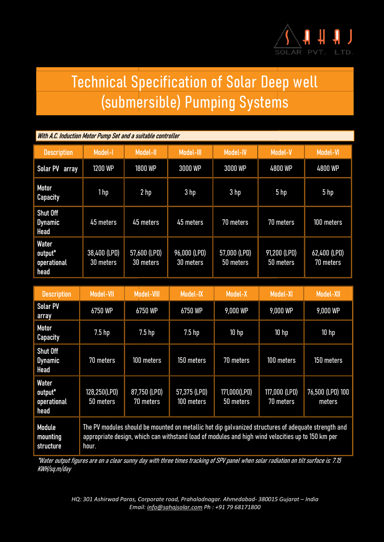

## Technical Specification of Solar Deep well nical Specification of Solar Deep well<br>(submersible) Pumping Systems

## With A.C. Induction Motor Pump Set and a suitable controller

| <b>Description</b>                               | Model-I                   | <b>Model-II</b>           | Model-III                 | <b>Model-IV</b>           | <b>Model-V</b>            | <b>Model-VI</b>           |
|--------------------------------------------------|---------------------------|---------------------------|---------------------------|---------------------------|---------------------------|---------------------------|
| Solar PV array                                   | 1200 WP                   | <b>1800 WP</b>            | 3000 WP                   | 3000 WP                   | 4800 WP                   | 4800 WP                   |
| <b>Motor</b><br><b>Capacity</b>                  | 1hp                       | 2 <sub>hp</sub>           | 3 hp                      | 3 hp                      | 5 <sub>hp</sub>           | 5 <sub>hp</sub>           |
| <b>Shut Off</b><br><b>Dynamic</b><br><b>Head</b> | 45 meters                 | 45 meters                 | 45 meters                 | 70 meters                 | 70 meters                 | 100 meters                |
| <b>Water</b><br>output*<br>operational<br>head   | 38,400 (LPD)<br>30 meters | 57,600 (LPD)<br>30 meters | 96,000 (LPD)<br>30 meters | 57,000 (LPD)<br>50 meters | 91,200 (LPD)<br>50 meters | 62,400 (LPD)<br>70 meters |

| <b>Description</b>                                    | Model-VII                                                                                                                                                                                                         | <b>Model-VIII</b>         | Model-IX                   | <b>Model-X</b>            | <b>Model-XI</b>            | <b>Model-XII</b>           |
|-------------------------------------------------------|-------------------------------------------------------------------------------------------------------------------------------------------------------------------------------------------------------------------|---------------------------|----------------------------|---------------------------|----------------------------|----------------------------|
| <b>Solar PV</b><br>array                              | 6750 WP                                                                                                                                                                                                           | 6750 WP                   | 6750 WP                    | 9,000 WP                  | 9,000 WP                   | 9,000 WP                   |
| <b>Motor</b><br><b>Capacity</b>                       | 7.5 <sub>hp</sub>                                                                                                                                                                                                 | 7.5 <sub>hp</sub>         | 7.5 <sub>hp</sub>          | 10 <sub>hp</sub>          | 10 <sub>hp</sub>           | 10 <sub>hp</sub>           |
| <b>Shut Off</b><br><b>Dynamic</b><br><b>Head</b>      | 70 meters                                                                                                                                                                                                         | 100 meters                | 150 meters                 | 70 meters                 | 100 meters                 | 150 meters                 |
| <b>Water</b><br>output*<br><b>operational</b><br>head | 128,250(LPD)<br>50 meters                                                                                                                                                                                         | 87,750 (LPD)<br>70 meters | 57,375 (LPD)<br>100 meters | 171,000(LPD)<br>50 meters | 117,000 (LPD)<br>70 meters | 76,500 (LPD) 100<br>meters |
| <b>Module</b><br>mounting<br><b>structure</b>         | The PV modules should be mounted on metallic hot dip galvanized structures of adequate strength and<br>appropriate design, which can withstand load of modules and high wind velocities up to 150 km per<br>hour. |                           |                            |                           |                            |                            |

\*Water output figures are on a clear sunny day with three times tracking of SPV panel when solar radiation on tilt surface is: Water sunny day panel when solar on surface is: 7.15 KWH/sq.m/day

> HQ: 301 Ashirwad Paras, Corporate road, Prahaladnagar. Ahmedabad- 380015 Gujarat – India Email: info@sahajsolar.com Ph : +91 79 68171800